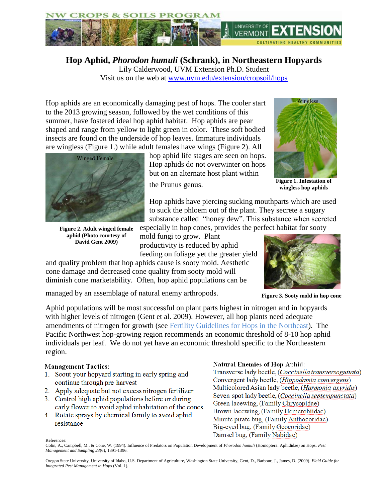

**Hop Aphid,** *Phorodon humuli* **(Schrank), in Northeastern Hopyards** Lily Calderwood, UVM Extension Ph.D. Student Visit us on the web at [www.uvm.edu/extension/cropsoil/hops](file:///C:/Users/sbrouill/AppData/Local/Temp/www.uvm.edu/extension/cropsoil/hops)

Hop aphids are an economically damaging pest of hops. The cooler start to the 2013 growing season, followed by the wet conditions of this summer, have fostered ideal hop aphid habitat. Hop aphids are pear shaped and range from yellow to light green in color. These soft bodied insects are found on the underside of hop leaves. Immature individuals are wingless (Figure 1.) while adult females have wings (Figure 2). All



**Figure 2. Adult winged female aphid (Photo courtesy of David Gent 2009)**

hop aphid life stages are seen on hops. Hop aphids do not overwinter on hops but on an alternate host plant within

the Prunus genus.



**Figure 1. Infestation of wingless hop aphids**

Hop aphids have piercing sucking mouthparts which are used to suck the phloem out of the plant. They secrete a sugary substance called "honey dew". This substance when secreted especially in hop cones, provides the perfect habitat for sooty

mold fungi to grow. Plant productivity is reduced by aphid feeding on foliage yet the greater yield

and quality problem that hop aphids cause is sooty mold. Aesthetic cone damage and decreased cone quality from sooty mold will diminish cone marketability. Often, hop aphid populations can be



**Figure 3. Sooty mold in hop cone**

managed by an assemblage of natural enemy arthropods.

Aphid populations will be most successful on plant parts highest in nitrogen and in hopyards with higher levels of nitrogen (Gent et al. 2009). However, all hop plants need adequate amendments of nitrogen for growth (see [Fertility Guidelines for Hops in the Northeast\)](http://www.uvm.edu/extension/cropsoil/wp-content/uploads/HopFertilityManagementNE.pdf). The Pacific Northwest hop-growing region recommends an economic threshold of 8-10 hop aphid individuals per leaf. We do not yet have an economic threshold specific to the Northeastern region.

## **Management Tactics:**

- 1. Scout your hopyard starting in early spring and continue through pre-harvest
- 2. Apply adequate but not excess nitrogen fertilizer
- 3. Control high aphid populations before or during early flower to avoid aphid inhabitation of the cones
- 4. Rotate sprays by chemical family to avoid aphid resistance

## **Natural Enemies of Hop Aphid:**

Transverse lady beetle, (Coccinella transversoguttata) Convergent lady beetle, (Hippodamia convergens) Multicolored Asian lady beetle, (Harmonia axyridis) Seven-spot lady beetle, (Coccinella septempunctata) Green lacewing, (Family Chrysopidae) Brown lacewing, (Family Hemerobiidae) Minute pirate bug, (Family Anthocoridae) Big-eyed bug, (Family Geocoridae) Damsel bug, (Family Nabidae)

References:

Colin, A., Campbell, M., & Cone, W. (1994). Influence of Predators on Population Development of *Phorodon humuli* (Homoptera: Aphididae) on Hops. *Pest Management and Sampling 23*(6), 1391-1396.

Oregon State University, University of Idaho, U.S. Department of Agriculture, Washington State University, Gent, D., Barbour, J., James, D. (2009). *Field Guide for Integrated Pest Management in Hops* (Vol. 1).